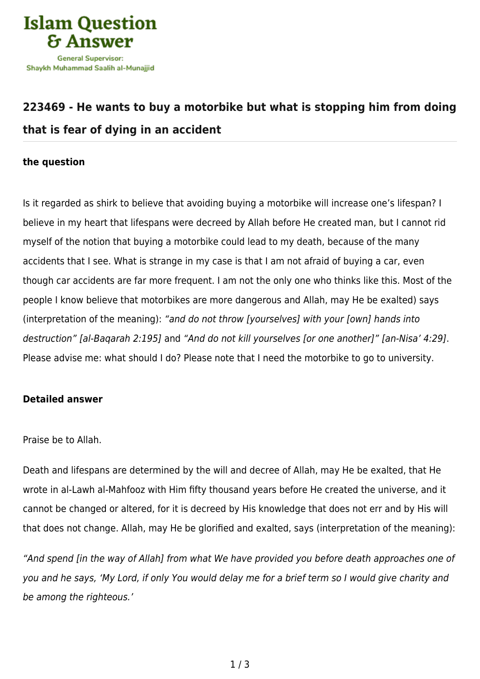

## **[223469 - He wants to buy a motorbike but what is stopping him from doing](https://islamqa.com/en/answers/223469/he-wants-to-buy-a-motorbike-but-what-is-stopping-him-from-doing-that-is-fear-of-dying-in-an-accident) [that is fear of dying in an accident](https://islamqa.com/en/answers/223469/he-wants-to-buy-a-motorbike-but-what-is-stopping-him-from-doing-that-is-fear-of-dying-in-an-accident)**

## **the question**

Is it regarded as shirk to believe that avoiding buying a motorbike will increase one's lifespan? I believe in my heart that lifespans were decreed by Allah before He created man, but I cannot rid myself of the notion that buying a motorbike could lead to my death, because of the many accidents that I see. What is strange in my case is that I am not afraid of buying a car, even though car accidents are far more frequent. I am not the only one who thinks like this. Most of the people I know believe that motorbikes are more dangerous and Allah, may He be exalted) says (interpretation of the meaning): "and do not throw [yourselves] with your [own] hands into destruction" [al-Baqarah 2:195] and "And do not kill yourselves [or one another]" [an-Nisa' 4:29]. Please advise me: what should I do? Please note that I need the motorbike to go to university.

## **Detailed answer**

Praise be to Allah.

Death and lifespans are determined by the will and decree of Allah, may He be exalted, that He wrote in al-Lawh al-Mahfooz with Him fifty thousand years before He created the universe, and it cannot be changed or altered, for it is decreed by His knowledge that does not err and by His will that does not change. Allah, may He be glorified and exalted, says (interpretation of the meaning):

"And spend [in the way of Allah] from what We have provided you before death approaches one of you and he says, 'My Lord, if only You would delay me for a brief term so I would give charity and be among the righteous.'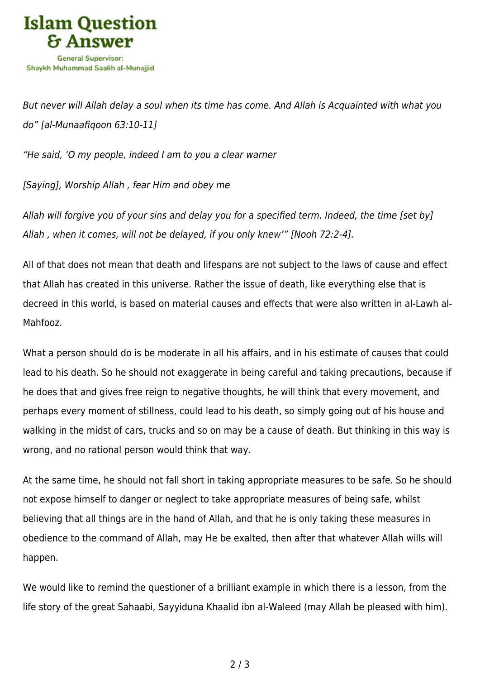

But never will Allah delay a soul when its time has come. And Allah is Acquainted with what you do" [al-Munaafiqoon 63:10-11]

"He said, 'O my people, indeed I am to you a clear warner

[Saying], Worship Allah , fear Him and obey me

Allah will forgive you of your sins and delay you for a specified term. Indeed, the time [set by] Allah , when it comes, will not be delayed, if you only knew'" [Nooh 72:2-4].

All of that does not mean that death and lifespans are not subject to the laws of cause and effect that Allah has created in this universe. Rather the issue of death, like everything else that is decreed in this world, is based on material causes and effects that were also written in al-Lawh al-Mahfooz.

What a person should do is be moderate in all his affairs, and in his estimate of causes that could lead to his death. So he should not exaggerate in being careful and taking precautions, because if he does that and gives free reign to negative thoughts, he will think that every movement, and perhaps every moment of stillness, could lead to his death, so simply going out of his house and walking in the midst of cars, trucks and so on may be a cause of death. But thinking in this way is wrong, and no rational person would think that way.

At the same time, he should not fall short in taking appropriate measures to be safe. So he should not expose himself to danger or neglect to take appropriate measures of being safe, whilst believing that all things are in the hand of Allah, and that he is only taking these measures in obedience to the command of Allah, may He be exalted, then after that whatever Allah wills will happen.

We would like to remind the questioner of a brilliant example in which there is a lesson, from the life story of the great Sahaabi, Sayyiduna Khaalid ibn al-Waleed (may Allah be pleased with him).